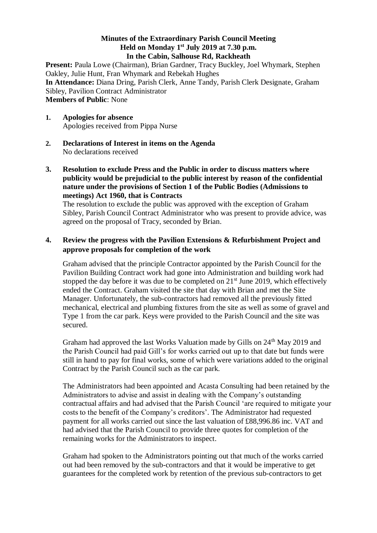## **Minutes of the Extraordinary Parish Council Meeting Held on Monday 1 st July 2019 at 7.30 p.m. In the Cabin, Salhouse Rd, Rackheath**

Present: Paula Lowe (Chairman), Brian Gardner, Tracy Buckley, Joel Whymark, Stephen Oakley, Julie Hunt, Fran Whymark and Rebekah Hughes **In Attendance:** Diana Dring, Parish Clerk, Anne Tandy, Parish Clerk Designate, Graham Sibley, Pavilion Contract Administrator **Members of Public**: None

- **1. Apologies for absence**  Apologies received from Pippa Nurse
- **2. Declarations of Interest in items on the Agenda** No declarations received
- **3. Resolution to exclude Press and the Public in order to discuss matters where publicity would be prejudicial to the public interest by reason of the confidential nature under the provisions of Section 1 of the Public Bodies (Admissions to meetings) Act 1960, that is Contracts**

The resolution to exclude the public was approved with the exception of Graham Sibley, Parish Council Contract Administrator who was present to provide advice, was agreed on the proposal of Tracy, seconded by Brian.

## **4. Review the progress with the Pavilion Extensions & Refurbishment Project and approve proposals for completion of the work**

Graham advised that the principle Contractor appointed by the Parish Council for the Pavilion Building Contract work had gone into Administration and building work had stopped the day before it was due to be completed on  $21<sup>st</sup>$  June 2019, which effectively ended the Contract. Graham visited the site that day with Brian and met the Site Manager. Unfortunately, the sub-contractors had removed all the previously fitted mechanical, electrical and plumbing fixtures from the site as well as some of gravel and Type 1 from the car park. Keys were provided to the Parish Council and the site was secured.

Graham had approved the last Works Valuation made by Gills on 24<sup>th</sup> May 2019 and the Parish Council had paid Gill's for works carried out up to that date but funds were still in hand to pay for final works, some of which were variations added to the original Contract by the Parish Council such as the car park.

The Administrators had been appointed and Acasta Consulting had been retained by the Administrators to advise and assist in dealing with the Company's outstanding contractual affairs and had advised that the Parish Council 'are required to mitigate your costs to the benefit of the Company's creditors'. The Administrator had requested payment for all works carried out since the last valuation of £88,996.86 inc. VAT and had advised that the Parish Council to provide three quotes for completion of the remaining works for the Administrators to inspect.

Graham had spoken to the Administrators pointing out that much of the works carried out had been removed by the sub-contractors and that it would be imperative to get guarantees for the completed work by retention of the previous sub-contractors to get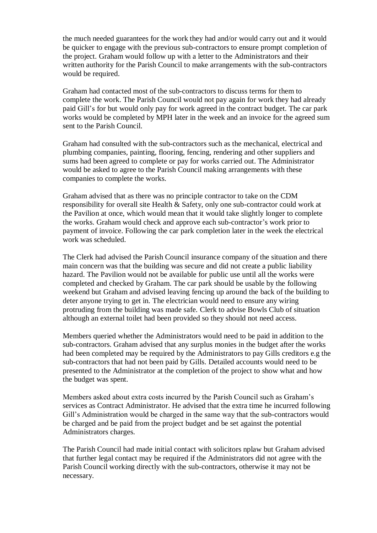the much needed guarantees for the work they had and/or would carry out and it would be quicker to engage with the previous sub-contractors to ensure prompt completion of the project. Graham would follow up with a letter to the Administrators and their written authority for the Parish Council to make arrangements with the sub-contractors would be required.

Graham had contacted most of the sub-contractors to discuss terms for them to complete the work. The Parish Council would not pay again for work they had already paid Gill's for but would only pay for work agreed in the contract budget. The car park works would be completed by MPH later in the week and an invoice for the agreed sum sent to the Parish Council.

Graham had consulted with the sub-contractors such as the mechanical, electrical and plumbing companies, painting, flooring, fencing, rendering and other suppliers and sums had been agreed to complete or pay for works carried out. The Administrator would be asked to agree to the Parish Council making arrangements with these companies to complete the works.

Graham advised that as there was no principle contractor to take on the CDM responsibility for overall site Health & Safety, only one sub-contractor could work at the Pavilion at once, which would mean that it would take slightly longer to complete the works. Graham would check and approve each sub-contractor's work prior to payment of invoice. Following the car park completion later in the week the electrical work was scheduled.

The Clerk had advised the Parish Council insurance company of the situation and there main concern was that the building was secure and did not create a public liability hazard. The Pavilion would not be available for public use until all the works were completed and checked by Graham. The car park should be usable by the following weekend but Graham and advised leaving fencing up around the back of the building to deter anyone trying to get in. The electrician would need to ensure any wiring protruding from the building was made safe. Clerk to advise Bowls Club of situation although an external toilet had been provided so they should not need access.

Members queried whether the Administrators would need to be paid in addition to the sub-contractors. Graham advised that any surplus monies in the budget after the works had been completed may be required by the Administrators to pay Gills creditors e.g the sub-contractors that had not been paid by Gills. Detailed accounts would need to be presented to the Administrator at the completion of the project to show what and how the budget was spent.

Members asked about extra costs incurred by the Parish Council such as Graham's services as Contract Administrator. He advised that the extra time he incurred following Gill's Administration would be charged in the same way that the sub-contractors would be charged and be paid from the project budget and be set against the potential Administrators charges.

The Parish Council had made initial contact with solicitors nplaw but Graham advised that further legal contact may be required if the Administrators did not agree with the Parish Council working directly with the sub-contractors, otherwise it may not be necessary.